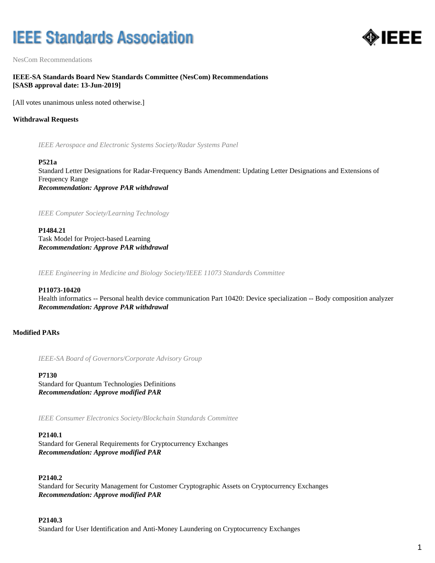# **IEEE Standards Association**



NesCom Recommendations

# **IEEE-SA Standards Board New Standards Committee (NesCom) Recommendations [SASB approval date: 13-Jun-2019]**

[All votes unanimous unless noted otherwise.]

# **Withdrawal Requests**

*IEEE Aerospace and Electronic Systems Society/Radar Systems Panel*

#### **P521a**

Standard Letter Designations for Radar-Frequency Bands Amendment: Updating Letter Designations and Extensions of Frequency Range *Recommendation: Approve PAR withdrawal*

*IEEE Computer Society/Learning Technology*

**P1484.21** Task Model for Project-based Learning *Recommendation: Approve PAR withdrawal*

*IEEE Engineering in Medicine and Biology Society/IEEE 11073 Standards Committee*

## **P11073-10420**

Health informatics -- Personal health device communication Part 10420: Device specialization -- Body composition analyzer *Recommendation: Approve PAR withdrawal*

# **Modified PARs**

*IEEE-SA Board of Governors/Corporate Advisory Group*

#### **P7130**

Standard for Quantum Technologies Definitions *Recommendation: Approve modified PAR*

*IEEE Consumer Electronics Society/Blockchain Standards Committee*

## **P2140.1**

Standard for General Requirements for Cryptocurrency Exchanges *Recommendation: Approve modified PAR*

## **P2140.2**

Standard for Security Management for Customer Cryptographic Assets on Cryptocurrency Exchanges *Recommendation: Approve modified PAR*

## **P2140.3**

Standard for User Identification and Anti-Money Laundering on Cryptocurrency Exchanges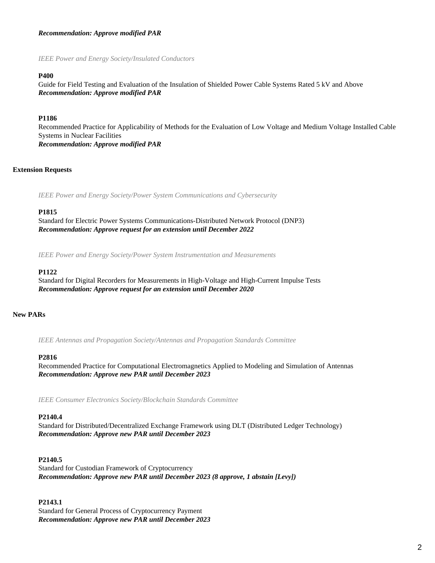# *Recommendation: Approve modified PAR*

*IEEE Power and Energy Society/Insulated Conductors*

## **P400**

Guide for Field Testing and Evaluation of the Insulation of Shielded Power Cable Systems Rated 5 kV and Above *Recommendation: Approve modified PAR*

## **P1186**

Recommended Practice for Applicability of Methods for the Evaluation of Low Voltage and Medium Voltage Installed Cable Systems in Nuclear Facilities *Recommendation: Approve modified PAR*

## **Extension Requests**

*IEEE Power and Energy Society/Power System Communications and Cybersecurity*

#### **P1815**

Standard for Electric Power Systems Communications-Distributed Network Protocol (DNP3) *Recommendation: Approve request for an extension until December 2022*

*IEEE Power and Energy Society/Power System Instrumentation and Measurements*

#### **P1122**

Standard for Digital Recorders for Measurements in High-Voltage and High-Current Impulse Tests *Recommendation: Approve request for an extension until December 2020*

#### **New PARs**

*IEEE Antennas and Propagation Society/Antennas and Propagation Standards Committee*

#### **P2816**

Recommended Practice for Computational Electromagnetics Applied to Modeling and Simulation of Antennas *Recommendation: Approve new PAR until December 2023*

*IEEE Consumer Electronics Society/Blockchain Standards Committee*

#### **P2140.4**

Standard for Distributed/Decentralized Exchange Framework using DLT (Distributed Ledger Technology) *Recommendation: Approve new PAR until December 2023*

## **P2140.5**

Standard for Custodian Framework of Cryptocurrency *Recommendation: Approve new PAR until December 2023 (8 approve, 1 abstain [Levy])*

## **P2143.1**

Standard for General Process of Cryptocurrency Payment *Recommendation: Approve new PAR until December 2023*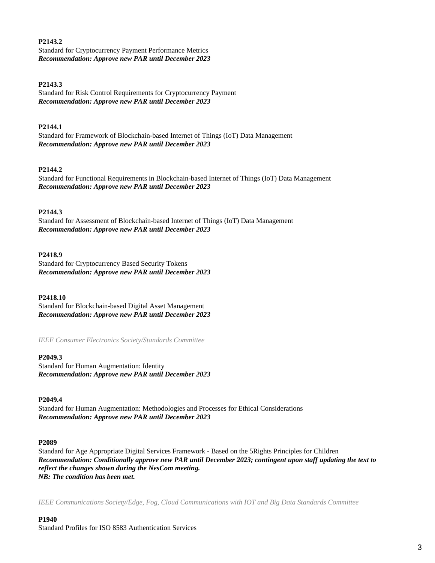## **P2143.2**

Standard for Cryptocurrency Payment Performance Metrics *Recommendation: Approve new PAR until December 2023*

## **P2143.3**

Standard for Risk Control Requirements for Cryptocurrency Payment *Recommendation: Approve new PAR until December 2023*

## **P2144.1**

Standard for Framework of Blockchain-based Internet of Things (IoT) Data Management *Recommendation: Approve new PAR until December 2023*

## **P2144.2**

Standard for Functional Requirements in Blockchain-based Internet of Things (IoT) Data Management *Recommendation: Approve new PAR until December 2023*

## **P2144.3**

Standard for Assessment of Blockchain-based Internet of Things (IoT) Data Management *Recommendation: Approve new PAR until December 2023*

## **P2418.9**

Standard for Cryptocurrency Based Security Tokens *Recommendation: Approve new PAR until December 2023*

## **P2418.10**

Standard for Blockchain-based Digital Asset Management *Recommendation: Approve new PAR until December 2023*

*IEEE Consumer Electronics Society/Standards Committee*

## **P2049.3**

Standard for Human Augmentation: Identity *Recommendation: Approve new PAR until December 2023*

## **P2049.4**

Standard for Human Augmentation: Methodologies and Processes for Ethical Considerations *Recommendation: Approve new PAR until December 2023*

## **P2089**

Standard for Age Appropriate Digital Services Framework - Based on the 5Rights Principles for Children *Recommendation: Conditionally approve new PAR until December 2023; contingent upon staff updating the text to reflect the changes shown during the NesCom meeting. NB: The condition has been met.*

*IEEE Communications Society/Edge, Fog, Cloud Communications with IOT and Big Data Standards Committee*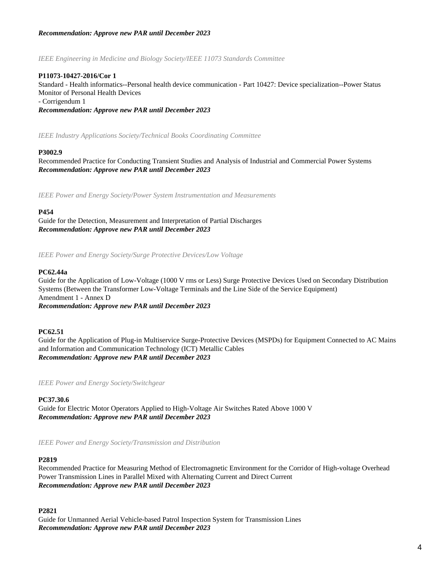# *Recommendation: Approve new PAR until December 2023*

*IEEE Engineering in Medicine and Biology Society/IEEE 11073 Standards Committee*

## **P11073-10427-2016/Cor 1**

Standard - Health informatics--Personal health device communication - Part 10427: Device specialization--Power Status Monitor of Personal Health Devices - Corrigendum 1

*Recommendation: Approve new PAR until December 2023*

*IEEE Industry Applications Society/Technical Books Coordinating Committee*

## **P3002.9**

Recommended Practice for Conducting Transient Studies and Analysis of Industrial and Commercial Power Systems *Recommendation: Approve new PAR until December 2023*

*IEEE Power and Energy Society/Power System Instrumentation and Measurements*

## **P454**

Guide for the Detection, Measurement and Interpretation of Partial Discharges *Recommendation: Approve new PAR until December 2023*

*IEEE Power and Energy Society/Surge Protective Devices/Low Voltage*

## **PC62.44a**

Guide for the Application of Low-Voltage (1000 V rms or Less) Surge Protective Devices Used on Secondary Distribution Systems (Between the Transformer Low-Voltage Terminals and the Line Side of the Service Equipment) Amendment 1 - Annex D *Recommendation: Approve new PAR until December 2023*

## **PC62.51**

Guide for the Application of Plug-in Multiservice Surge-Protective Devices (MSPDs) for Equipment Connected to AC Mains and Information and Communication Technology (ICT) Metallic Cables *Recommendation: Approve new PAR until December 2023*

*IEEE Power and Energy Society/Switchgear*

**PC37.30.6**

Guide for Electric Motor Operators Applied to High-Voltage Air Switches Rated Above 1000 V *Recommendation: Approve new PAR until December 2023*

*IEEE Power and Energy Society/Transmission and Distribution*

# **P2819**

Recommended Practice for Measuring Method of Electromagnetic Environment for the Corridor of High-voltage Overhead Power Transmission Lines in Parallel Mixed with Alternating Current and Direct Current *Recommendation: Approve new PAR until December 2023*

## **P2821**

Guide for Unmanned Aerial Vehicle-based Patrol Inspection System for Transmission Lines *Recommendation: Approve new PAR until December 2023*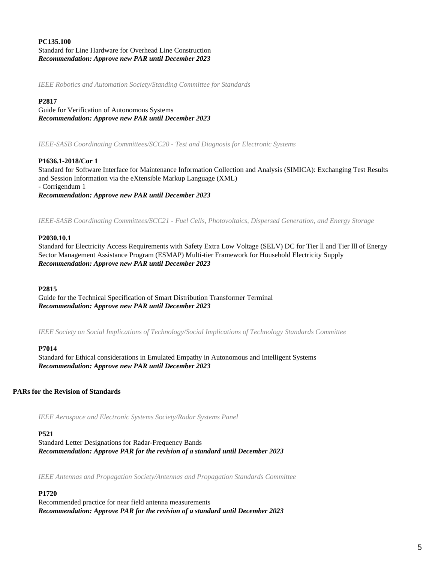# **PC135.100** Standard for Line Hardware for Overhead Line Construction *Recommendation: Approve new PAR until December 2023*

*IEEE Robotics and Automation Society/Standing Committee for Standards*

# **P2817**

Guide for Verification of Autonomous Systems *Recommendation: Approve new PAR until December 2023*

*IEEE-SASB Coordinating Committees/SCC20 - Test and Diagnosis for Electronic Systems*

# **P1636.1-2018/Cor 1**

Standard for Software Interface for Maintenance Information Collection and Analysis (SIMICA): Exchanging Test Results and Session Information via the eXtensible Markup Language (XML) - Corrigendum 1 *Recommendation: Approve new PAR until December 2023*

*IEEE-SASB Coordinating Committees/SCC21 - Fuel Cells, Photovoltaics, Dispersed Generation, and Energy Storage*

## **P2030.10.1**

Standard for Electricity Access Requirements with Safety Extra Low Voltage (SELV) DC for Tier ll and Tier lll of Energy Sector Management Assistance Program (ESMAP) Multi-tier Framework for Household Electricity Supply *Recommendation: Approve new PAR until December 2023*

## **P2815**

Guide for the Technical Specification of Smart Distribution Transformer Terminal *Recommendation: Approve new PAR until December 2023*

*IEEE Society on Social Implications of Technology/Social Implications of Technology Standards Committee*

## **P7014**

Standard for Ethical considerations in Emulated Empathy in Autonomous and Intelligent Systems *Recommendation: Approve new PAR until December 2023*

# **PARs for the Revision of Standards**

*IEEE Aerospace and Electronic Systems Society/Radar Systems Panel*

# **P521**

Standard Letter Designations for Radar-Frequency Bands *Recommendation: Approve PAR for the revision of a standard until December 2023*

*IEEE Antennas and Propagation Society/Antennas and Propagation Standards Committee*

# **P1720**

Recommended practice for near field antenna measurements *Recommendation: Approve PAR for the revision of a standard until December 2023*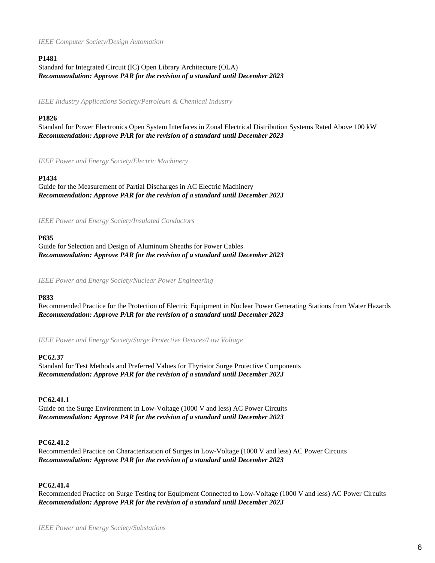## *IEEE Computer Society/Design Automation*

# **P1481**

Standard for Integrated Circuit (IC) Open Library Architecture (OLA) *Recommendation: Approve PAR for the revision of a standard until December 2023*

*IEEE Industry Applications Society/Petroleum & Chemical Industry*

# **P1826**

Standard for Power Electronics Open System Interfaces in Zonal Electrical Distribution Systems Rated Above 100 kW *Recommendation: Approve PAR for the revision of a standard until December 2023*

*IEEE Power and Energy Society/Electric Machinery*

# **P1434**

Guide for the Measurement of Partial Discharges in AC Electric Machinery *Recommendation: Approve PAR for the revision of a standard until December 2023*

*IEEE Power and Energy Society/Insulated Conductors*

# **P635**

Guide for Selection and Design of Aluminum Sheaths for Power Cables *Recommendation: Approve PAR for the revision of a standard until December 2023*

*IEEE Power and Energy Society/Nuclear Power Engineering*

# **P833**

Recommended Practice for the Protection of Electric Equipment in Nuclear Power Generating Stations from Water Hazards *Recommendation: Approve PAR for the revision of a standard until December 2023*

*IEEE Power and Energy Society/Surge Protective Devices/Low Voltage*

# **PC62.37**

Standard for Test Methods and Preferred Values for Thyristor Surge Protective Components *Recommendation: Approve PAR for the revision of a standard until December 2023*

# **PC62.41.1**

Guide on the Surge Environment in Low-Voltage (1000 V and less) AC Power Circuits *Recommendation: Approve PAR for the revision of a standard until December 2023*

# **PC62.41.2**

Recommended Practice on Characterization of Surges in Low-Voltage (1000 V and less) AC Power Circuits *Recommendation: Approve PAR for the revision of a standard until December 2023*

# **PC62.41.4**

Recommended Practice on Surge Testing for Equipment Connected to Low-Voltage (1000 V and less) AC Power Circuits *Recommendation: Approve PAR for the revision of a standard until December 2023*